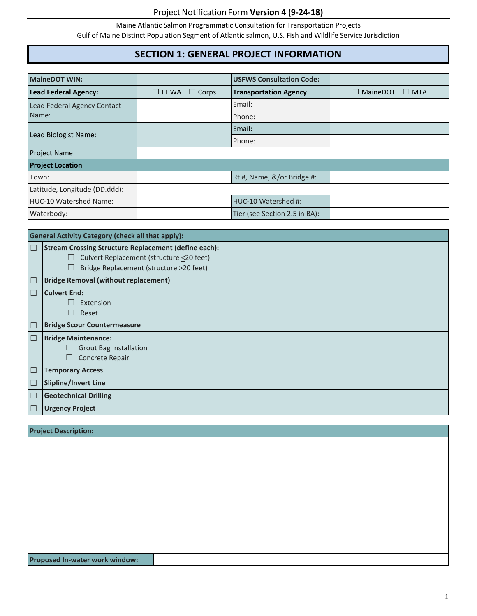Maine Atlantic Salmon Programmatic Consultation for Transportation Projects

Gulf of Maine Distinct Population Segment of Atlantic salmon, U.S. Fish and Wildlife Service Jurisdiction

# **SECTION 1: GENERAL PROJECT INFORMATION**

| <b>MaineDOT WIN:</b>          |                                | <b>USFWS Consultation Code:</b> |                               |
|-------------------------------|--------------------------------|---------------------------------|-------------------------------|
| <b>Lead Federal Agency:</b>   | $\square$ FHWA<br>$\Box$ Corps | <b>Transportation Agency</b>    | $\Box$ MaineDOT<br>$\Box$ MTA |
| Lead Federal Agency Contact   |                                | Email:                          |                               |
| Name:                         |                                | Phone:                          |                               |
| Lead Biologist Name:          |                                | Email:                          |                               |
|                               |                                | Phone:                          |                               |
| <b>Project Name:</b>          |                                |                                 |                               |
| <b>Project Location</b>       |                                |                                 |                               |
| Town:                         |                                | Rt #, Name, &/or Bridge #:      |                               |
| Latitude, Longitude (DD.ddd): |                                |                                 |                               |
| HUC-10 Watershed Name:        |                                | HUC-10 Watershed #:             |                               |
| Waterbody:                    |                                | Tier (see Section 2.5 in BA):   |                               |

|                       | <b>General Activity Category (check all that apply):</b>    |  |  |
|-----------------------|-------------------------------------------------------------|--|--|
| $\Box$                | <b>Stream Crossing Structure Replacement (define each):</b> |  |  |
|                       | Culvert Replacement (structure <20 feet)<br>ш               |  |  |
|                       | Bridge Replacement (structure >20 feet)                     |  |  |
| $\boxed{\phantom{1}}$ | <b>Bridge Removal (without replacement)</b>                 |  |  |
| $\Box$                | <b>Culvert End:</b>                                         |  |  |
|                       | Extension                                                   |  |  |
|                       | Reset                                                       |  |  |
| $\boxed{\phantom{1}}$ | <b>Bridge Scour Countermeasure</b>                          |  |  |
| $\Box$                | <b>Bridge Maintenance:</b>                                  |  |  |
|                       | <b>Grout Bag Installation</b><br>ш                          |  |  |
|                       | Concrete Repair                                             |  |  |
| $\boxed{\phantom{1}}$ | <b>Temporary Access</b>                                     |  |  |
| $\Box$                | <b>Slipline/Invert Line</b>                                 |  |  |
| $\Box$                | <b>Geotechnical Drilling</b>                                |  |  |
| $\boxed{\phantom{1}}$ | <b>Urgency Project</b>                                      |  |  |

| <b>Project Description:</b>    |  |
|--------------------------------|--|
|                                |  |
|                                |  |
|                                |  |
|                                |  |
|                                |  |
|                                |  |
|                                |  |
|                                |  |
|                                |  |
| Proposed In-water work window: |  |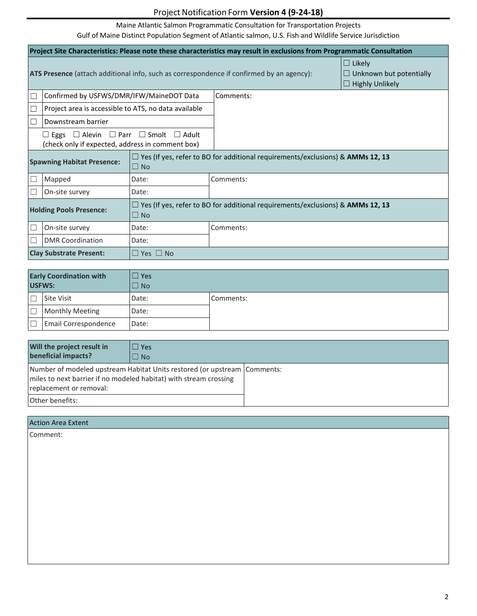Maine Atlantic Salmon Programmatic Consultation for Transportation Projects

| Project Site Characteristics: Please note these characteristics may result in exclusions from Programmatic Consultation |                                                                                                                     |                                                                                       |           |                                                                           |
|-------------------------------------------------------------------------------------------------------------------------|---------------------------------------------------------------------------------------------------------------------|---------------------------------------------------------------------------------------|-----------|---------------------------------------------------------------------------|
| <b>ATS Presence</b> (attach additional info, such as correspondence if confirmed by an agency):                         |                                                                                                                     |                                                                                       |           | $\Box$ Likely<br>$\Box$ Unknown but potentially<br>$\Box$ Highly Unlikely |
| $\Box$                                                                                                                  | Confirmed by USFWS/DMR/IFW/MaineDOT Data                                                                            |                                                                                       | Comments: |                                                                           |
| $\Box$                                                                                                                  | Project area is accessible to ATS, no data available                                                                |                                                                                       |           |                                                                           |
| $\Box$                                                                                                                  | Downstream barrier                                                                                                  |                                                                                       |           |                                                                           |
|                                                                                                                         | $\Box$ Eggs $\Box$ Alevin $\Box$ Parr $\Box$ Smolt $\Box$ Adult<br>(check only if expected, address in comment box) |                                                                                       |           |                                                                           |
| <b>Spawning Habitat Presence:</b><br>$\Box$ No                                                                          |                                                                                                                     | $\Box$ Yes (If yes, refer to BO for additional requirements/exclusions) & AMMs 12, 13 |           |                                                                           |
| $\Box$                                                                                                                  | Mapped                                                                                                              | Date:                                                                                 | Comments: |                                                                           |
| $\Box$                                                                                                                  | On-site survey                                                                                                      | Date:                                                                                 |           |                                                                           |
| <b>Holding Pools Presence:</b><br>$\Box$ No                                                                             |                                                                                                                     | $\Box$ Yes (If yes, refer to BO for additional requirements/exclusions) & AMMs 12, 13 |           |                                                                           |
| ⊔                                                                                                                       | On-site survey                                                                                                      | Date:                                                                                 | Comments: |                                                                           |
| $\Box$                                                                                                                  | <b>DMR Coordination</b>                                                                                             | Date:                                                                                 |           |                                                                           |
| <b>Clay Substrate Present:</b><br>$\Box$ Yes $\Box$ No                                                                  |                                                                                                                     |                                                                                       |           |                                                                           |

| <b>Early Coordination with</b><br>USFWS: |                        | $\Box$ Yes<br>$\Box$ No |           |
|------------------------------------------|------------------------|-------------------------|-----------|
|                                          | <b>Site Visit</b>      | Date:                   | Comments: |
| Е                                        | <b>Monthly Meeting</b> | Date:                   |           |
|                                          | Email Correspondence   | Date:                   |           |

| Will the project result in<br>beneficial impacts?                                                                                                                          | $\triangle$ Yes<br>$\Box$ No |  |
|----------------------------------------------------------------------------------------------------------------------------------------------------------------------------|------------------------------|--|
| Number of modeled upstream Habitat Units restored (or upstream   Comments:<br>miles to next barrier if no modeled habitat) with stream crossing<br>replacement or removal: |                              |  |
| Other benefits:                                                                                                                                                            |                              |  |

| <b>Action Area Extent</b> |  |
|---------------------------|--|
| Comment:                  |  |
|                           |  |
|                           |  |
|                           |  |
|                           |  |
|                           |  |
|                           |  |
|                           |  |
|                           |  |
|                           |  |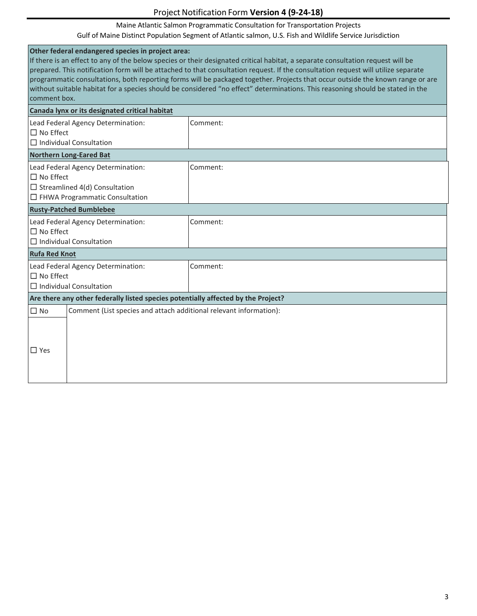#### Maine Atlantic Salmon Programmatic Consultation for Transportation Projects

| Other federal endangered species in project area:<br>If there is an effect to any of the below species or their designated critical habitat, a separate consultation request will be<br>prepared. This notification form will be attached to that consultation request. If the consultation request will utilize separate<br>programmatic consultations, both reporting forms will be packaged together. Projects that occur outside the known range or are<br>without suitable habitat for a species should be considered "no effect" determinations. This reasoning should be stated in the<br>comment box. |          |  |  |
|---------------------------------------------------------------------------------------------------------------------------------------------------------------------------------------------------------------------------------------------------------------------------------------------------------------------------------------------------------------------------------------------------------------------------------------------------------------------------------------------------------------------------------------------------------------------------------------------------------------|----------|--|--|
| Canada lynx or its designated critical habitat                                                                                                                                                                                                                                                                                                                                                                                                                                                                                                                                                                |          |  |  |
| Lead Federal Agency Determination:<br>$\Box$ No Effect<br>$\Box$ Individual Consultation                                                                                                                                                                                                                                                                                                                                                                                                                                                                                                                      | Comment: |  |  |
| <b>Northern Long-Eared Bat</b>                                                                                                                                                                                                                                                                                                                                                                                                                                                                                                                                                                                |          |  |  |
| Comment:<br>Lead Federal Agency Determination:<br>$\square$ No Effect<br>$\Box$ Streamlined 4(d) Consultation<br>$\Box$ FHWA Programmatic Consultation                                                                                                                                                                                                                                                                                                                                                                                                                                                        |          |  |  |
| <b>Rusty-Patched Bumblebee</b>                                                                                                                                                                                                                                                                                                                                                                                                                                                                                                                                                                                |          |  |  |
| Lead Federal Agency Determination:<br>$\square$ No Effect<br>$\Box$ Individual Consultation                                                                                                                                                                                                                                                                                                                                                                                                                                                                                                                   | Comment: |  |  |
| <b>Rufa Red Knot</b>                                                                                                                                                                                                                                                                                                                                                                                                                                                                                                                                                                                          |          |  |  |
| Lead Federal Agency Determination:<br>$\Box$ No Effect<br>$\Box$ Individual Consultation                                                                                                                                                                                                                                                                                                                                                                                                                                                                                                                      | Comment: |  |  |
| Are there any other federally listed species potentially affected by the Project?                                                                                                                                                                                                                                                                                                                                                                                                                                                                                                                             |          |  |  |
| $\square$ No<br>Comment (List species and attach additional relevant information):<br>$\Box$ Yes                                                                                                                                                                                                                                                                                                                                                                                                                                                                                                              |          |  |  |
|                                                                                                                                                                                                                                                                                                                                                                                                                                                                                                                                                                                                               |          |  |  |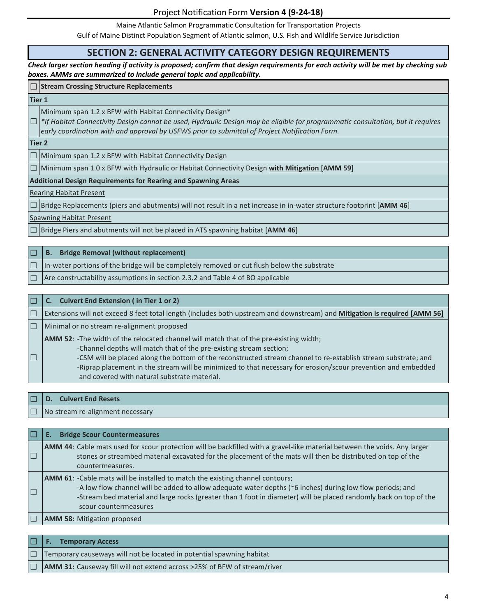Maine Atlantic Salmon Programmatic Consultation for Transportation Projects

Gulf of Maine Distinct Population Segment of Atlantic salmon, U.S. Fish and Wildlife Service Jurisdiction

#### **SECTION 2: GENERAL ACTIVITY CATEGORY DESIGN REQUIREMENTS**

*Check larger section heading if activity is proposed; confirm that design requirements for each activity will be met by checking sub boxes. AMMs are summarized to include general topic and applicability.*

#### ☐ **Stream Crossing Structure Replacements**

#### **Tier 1**

Minimum span 1.2 x BFW with Habitat Connectivity Design\*

☐ *\*If Habitat Connectivity Design cannot be used, Hydraulic Design may be eligible for programmatic consultation, but it requires early coordination with and approval by USFWS prior to submittal of Project Notification Form.*

#### **Tier 2**

 $\Box$  Minimum span 1.2 x BFW with Habitat Connectivity Design

☐ Minimum span 1.0 x BFW with Hydraulic or Habitat Connectivity Design **with Mitigation** [**AMM 59**]

**Additional Design Requirements for Rearing and Spawning Areas**

#### Rearing Habitat Present

 $\Box$  Bridge Replacements (piers and abutments) will not result in a net increase in in-water structure footprint [AMM 46]

Spawning Habitat Present

 $\Box$  Bridge Piers and abutments will not be placed in ATS spawning habitat [AMM 46]

| 10     | <b>B.</b> Bridge Removal (without replacement)                                              |
|--------|---------------------------------------------------------------------------------------------|
| $\Box$ | In-water portions of the bridge will be completely removed or cut flush below the substrate |
| $\Box$ | Are constructability assumptions in section 2.3.2 and Table 4 of BO applicable              |

|        | C. Culvert End Extension (in Tier 1 or 2)                                                                                                                                                                                                                                                                                                                                                                                                               |
|--------|---------------------------------------------------------------------------------------------------------------------------------------------------------------------------------------------------------------------------------------------------------------------------------------------------------------------------------------------------------------------------------------------------------------------------------------------------------|
| $\Box$ | Extensions will not exceed 8 feet total length (includes both upstream and downstream) and Mitigation is required [AMM 56]                                                                                                                                                                                                                                                                                                                              |
| $\Box$ | Minimal or no stream re-alignment proposed                                                                                                                                                                                                                                                                                                                                                                                                              |
| $\Box$ | <b>AMM 52:</b> -The width of the relocated channel will match that of the pre-existing width;<br>-Channel depths will match that of the pre-existing stream section;<br>-CSM will be placed along the bottom of the reconstructed stream channel to re-establish stream substrate; and<br>-Riprap placement in the stream will be minimized to that necessary for erosion/scour prevention and embedded<br>and covered with natural substrate material. |

| $\Box$ D. Culvert End Resets            |
|-----------------------------------------|
| $\Box$ No stream re-alignment necessary |

| $\Box$ | <b>Bridge Scour Countermeasures</b>                                                                                                                                                                                                                                                                                                             |
|--------|-------------------------------------------------------------------------------------------------------------------------------------------------------------------------------------------------------------------------------------------------------------------------------------------------------------------------------------------------|
| $\Box$ | <b>AMM 44:</b> Cable mats used for scour protection will be backfilled with a gravel-like material between the voids. Any larger<br>stones or streambed material excavated for the placement of the mats will then be distributed on top of the<br>countermeasures.                                                                             |
| $\Box$ | <b>AMM 61:</b> -Cable mats will be installed to match the existing channel contours;<br>-A low flow channel will be added to allow adequate water depths (~6 inches) during low flow periods; and<br>-Stream bed material and large rocks (greater than 1 foot in diameter) will be placed randomly back on top of the<br>scour countermeasures |
|        | <b>AMM 58: Mitigation proposed</b>                                                                                                                                                                                                                                                                                                              |
|        |                                                                                                                                                                                                                                                                                                                                                 |

|  | $\Box$ F. Temporary Access                                                      |
|--|---------------------------------------------------------------------------------|
|  | $\Box$ Temporary causeways will not be located in potential spawning habitat    |
|  | <b>AMM 31:</b> Causeway fill will not extend across >25% of BFW of stream/river |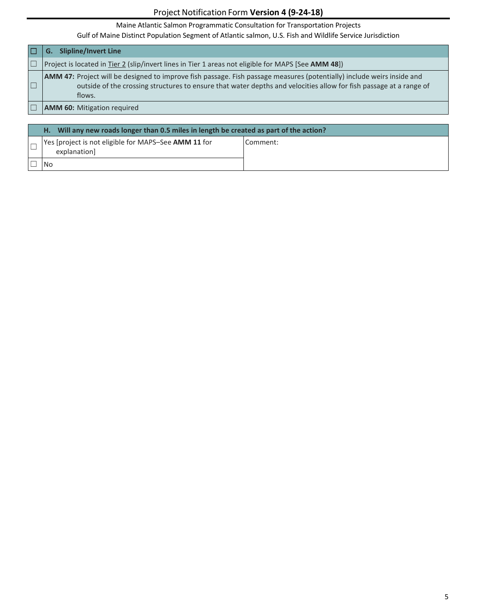Maine Atlantic Salmon Programmatic Consultation for Transportation Projects

| <b>Slipline/Invert Line</b><br>G.                                                                                                                                                                                                                             |
|---------------------------------------------------------------------------------------------------------------------------------------------------------------------------------------------------------------------------------------------------------------|
| Project is located in Tier 2 (slip/invert lines in Tier 1 areas not eligible for MAPS [See AMM 48])                                                                                                                                                           |
| <b>AMM 47:</b> Project will be designed to improve fish passage. Fish passage measures (potentially) include weirs inside and<br>outside of the crossing structures to ensure that water depths and velocities allow for fish passage at a range of<br>flows. |
| <b>AMM 60:</b> Mitigation required                                                                                                                                                                                                                            |

| H. Will any new roads longer than 0.5 miles in length be created as part of the action? |          |
|-----------------------------------------------------------------------------------------|----------|
| Yes [project is not eligible for MAPS-See AMM 11 for<br>explanation                     | Comment: |
|                                                                                         |          |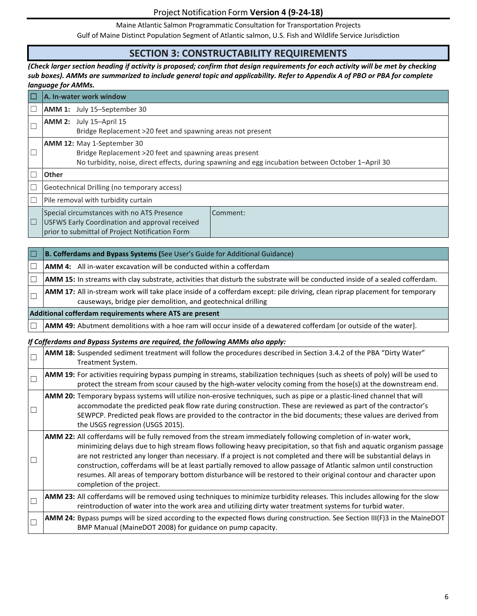Maine Atlantic Salmon Programmatic Consultation for Transportation Projects

Gulf of Maine Distinct Population Segment of Atlantic salmon, U.S. Fish and Wildlife Service Jurisdiction

## **SECTION 3: CONSTRUCTABILITY REQUIREMENTS**

#### *(Check larger section heading if activity is proposed; confirm that design requirements for each activity will be met by checking sub boxes). AMMs are summarized to include general topic and applicability. Refer to Appendix A of PBO or PBA for complete language for AMMs.*

| $\Box$                   | A. In-water work window                                                                                                                                                                    |  |
|--------------------------|--------------------------------------------------------------------------------------------------------------------------------------------------------------------------------------------|--|
| $\Box$                   | <b>AMM 1:</b> July 15-September 30                                                                                                                                                         |  |
|                          | $AMM$ 2: July 15-April 15<br>Bridge Replacement >20 feet and spawning areas not present                                                                                                    |  |
| $\Box$                   | AMM 12: May 1-September 30<br>Bridge Replacement >20 feet and spawning areas present<br>No turbidity, noise, direct effects, during spawning and egg incubation between October 1-April 30 |  |
|                          | <b>Other</b>                                                                                                                                                                               |  |
| $\overline{\phantom{a}}$ | Geotechnical Drilling (no temporary access)                                                                                                                                                |  |
|                          | Pile removal with turbidity curtain                                                                                                                                                        |  |
| $\Box$                   | Special circumstances with no ATS Presence<br>Comment:<br>USFWS Early Coordination and approval received<br>prior to submittal of Project Notification Form                                |  |

|                                                         | <b>B. Cofferdams and Bypass Systems (See User's Guide for Additional Guidance)</b>                                                                                                                 |
|---------------------------------------------------------|----------------------------------------------------------------------------------------------------------------------------------------------------------------------------------------------------|
|                                                         | <b>AMM 4:</b> All in-water excavation will be conducted within a cofferdam                                                                                                                         |
|                                                         | <b>AMM 15:</b> In streams with clay substrate, activities that disturb the substrate will be conducted inside of a sealed cofferdam.                                                               |
|                                                         | <b>AMM 17:</b> All in-stream work will take place inside of a cofferdam except: pile driving, clean riprap placement for temporary<br>causeways, bridge pier demolition, and geotechnical drilling |
| Additional cofferdam requirements where ATS are present |                                                                                                                                                                                                    |
|                                                         | <b>AMM 49:</b> Abutment demolitions with a hoe ram will occur inside of a dewatered cofferdam [or outside of the water].                                                                           |

#### *If Cofferdams and Bypass Systems are required, the following AMMs also apply:*

| $\Box$ | AMM 18: Suspended sediment treatment will follow the procedures described in Section 3.4.2 of the PBA "Dirty Water"<br>Treatment System.                                                                                                                                                                                                                                                                                                                                                                                                                                                                                                     |
|--------|----------------------------------------------------------------------------------------------------------------------------------------------------------------------------------------------------------------------------------------------------------------------------------------------------------------------------------------------------------------------------------------------------------------------------------------------------------------------------------------------------------------------------------------------------------------------------------------------------------------------------------------------|
| $\Box$ | <b>AMM 19:</b> For activities requiring bypass pumping in streams, stabilization techniques (such as sheets of poly) will be used to<br>protect the stream from scour caused by the high-water velocity coming from the hose(s) at the downstream end.                                                                                                                                                                                                                                                                                                                                                                                       |
| $\Box$ | AMM 20: Temporary bypass systems will utilize non-erosive techniques, such as pipe or a plastic-lined channel that will<br>accommodate the predicted peak flow rate during construction. These are reviewed as part of the contractor's<br>SEWPCP. Predicted peak flows are provided to the contractor in the bid documents; these values are derived from<br>the USGS regression (USGS 2015).                                                                                                                                                                                                                                               |
| Ē      | <b>AMM 22:</b> All cofferdams will be fully removed from the stream immediately following completion of in-water work,<br>minimizing delays due to high stream flows following heavy precipitation, so that fish and aquatic organism passage<br>are not restricted any longer than necessary. If a project is not completed and there will be substantial delays in<br>construction, cofferdams will be at least partially removed to allow passage of Atlantic salmon until construction<br>resumes. All areas of temporary bottom disturbance will be restored to their original contour and character upon<br>completion of the project. |
| $\Box$ | AMM 23: All cofferdams will be removed using techniques to minimize turbidity releases. This includes allowing for the slow<br>reintroduction of water into the work area and utilizing dirty water treatment systems for turbid water.                                                                                                                                                                                                                                                                                                                                                                                                      |
| $\Box$ | AMM 24: Bypass pumps will be sized according to the expected flows during construction. See Section III(F)3 in the MaineDOT<br>BMP Manual (MaineDOT 2008) for guidance on pump capacity.                                                                                                                                                                                                                                                                                                                                                                                                                                                     |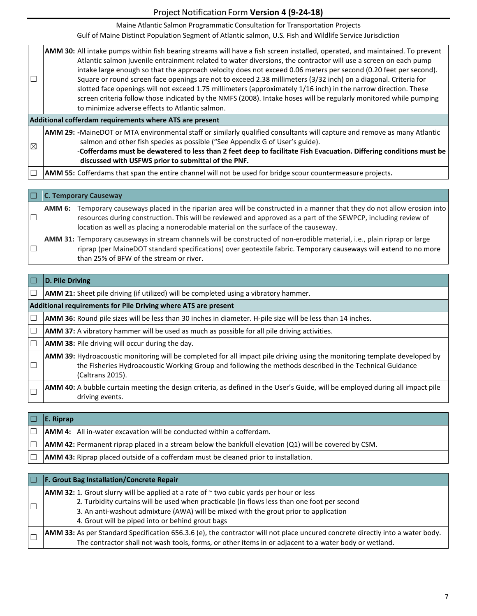Maine Atlantic Salmon Programmatic Consultation for Transportation Projects

| $\Box$                                                  | AMM 30: All intake pumps within fish bearing streams will have a fish screen installed, operated, and maintained. To prevent<br>Atlantic salmon juvenile entrainment related to water diversions, the contractor will use a screen on each pump<br>intake large enough so that the approach velocity does not exceed 0.06 meters per second (0.20 feet per second).<br>Square or round screen face openings are not to exceed 2.38 millimeters (3/32 inch) on a diagonal. Criteria for<br>slotted face openings will not exceed 1.75 millimeters (approximately 1/16 inch) in the narrow direction. These<br>screen criteria follow those indicated by the NMFS (2008). Intake hoses will be regularly monitored while pumping<br>to minimize adverse effects to Atlantic salmon. |  |
|---------------------------------------------------------|-----------------------------------------------------------------------------------------------------------------------------------------------------------------------------------------------------------------------------------------------------------------------------------------------------------------------------------------------------------------------------------------------------------------------------------------------------------------------------------------------------------------------------------------------------------------------------------------------------------------------------------------------------------------------------------------------------------------------------------------------------------------------------------|--|
| Additional cofferdam requirements where ATS are present |                                                                                                                                                                                                                                                                                                                                                                                                                                                                                                                                                                                                                                                                                                                                                                                   |  |
| $\boxtimes$                                             | AMM 29: -MaineDOT or MTA environmental staff or similarly qualified consultants will capture and remove as many Atlantic<br>salmon and other fish species as possible ("See Appendix G of User's guide).<br>-Cofferdams must be dewatered to less than 2 feet deep to facilitate Fish Evacuation. Differing conditions must be<br>discussed with USFWS prior to submittal of the PNF.                                                                                                                                                                                                                                                                                                                                                                                             |  |
|                                                         | AMM 55: Cofferdams that span the entire channel will not be used for bridge scour countermeasure projects.                                                                                                                                                                                                                                                                                                                                                                                                                                                                                                                                                                                                                                                                        |  |

|        | <b>C. Temporary Causeway</b>                                                                                                                                                                                                                                                                                                |
|--------|-----------------------------------------------------------------------------------------------------------------------------------------------------------------------------------------------------------------------------------------------------------------------------------------------------------------------------|
| AMM 6: | Temporary causeways placed in the riparian area will be constructed in a manner that they do not allow erosion into<br>resources during construction. This will be reviewed and approved as a part of the SEWPCP, including review of<br>location as well as placing a nonerodable material on the surface of the causeway. |
|        | <b>AMM 31:</b> Temporary causeways in stream channels will be constructed of non-erodible material, i.e., plain riprap or large<br>riprap (per MaineDOT standard specifications) over geotextile fabric. Temporary causeways will extend to no more<br>than 25% of BFW of the stream or river.                              |

| D. Pile Driving                                                                                                                                                                                                                                                 |  |  |
|-----------------------------------------------------------------------------------------------------------------------------------------------------------------------------------------------------------------------------------------------------------------|--|--|
| <b>AMM 21:</b> Sheet pile driving (if utilized) will be completed using a vibratory hammer.                                                                                                                                                                     |  |  |
| Additional requirements for Pile Driving where ATS are present                                                                                                                                                                                                  |  |  |
| AMM 36: Round pile sizes will be less than 30 inches in diameter. H-pile size will be less than 14 inches.                                                                                                                                                      |  |  |
| <b>AMM 37:</b> A vibratory hammer will be used as much as possible for all pile driving activities.                                                                                                                                                             |  |  |
| <b>AMM 38:</b> Pile driving will occur during the day.                                                                                                                                                                                                          |  |  |
| <b>AMM 39:</b> Hydroacoustic monitoring will be completed for all impact pile driving using the monitoring template developed by<br>the Fisheries Hydroacoustic Working Group and following the methods described in the Technical Guidance<br>(Caltrans 2015). |  |  |
| <b>AMM 40:</b> A bubble curtain meeting the design criteria, as defined in the User's Guide, will be employed during all impact pile<br>driving events.                                                                                                         |  |  |

| $\Box$       | $E.$ Riprap                                                                                                    |
|--------------|----------------------------------------------------------------------------------------------------------------|
|              | <b>AMM 4:</b> All in-water excavation will be conducted within a cofferdam.                                    |
| $\mathbb{L}$ | <b>AMM 42:</b> Permanent riprap placed in a stream below the bankfull elevation $(Q1)$ will be covered by CSM. |
|              | <b>AMM 43:</b> Riprap placed outside of a cofferdam must be cleaned prior to installation.                     |

| IO | <b>F. Grout Bag Installation/Concrete Repair</b>                                                                                                                                                                                                                                                                                               |
|----|------------------------------------------------------------------------------------------------------------------------------------------------------------------------------------------------------------------------------------------------------------------------------------------------------------------------------------------------|
|    | <b>AMM 32:</b> 1. Grout slurry will be applied at a rate of $\sim$ two cubic yards per hour or less<br>2. Turbidity curtains will be used when practicable (in flows less than one foot per second<br>3. An anti-washout admixture (AWA) will be mixed with the grout prior to application<br>4. Grout will be piped into or behind grout bags |
|    | <b>AMM 33:</b> As per Standard Specification 656.3.6 (e), the contractor will not place uncured concrete directly into a water body.<br>The contractor shall not wash tools, forms, or other items in or adjacent to a water body or wetland.                                                                                                  |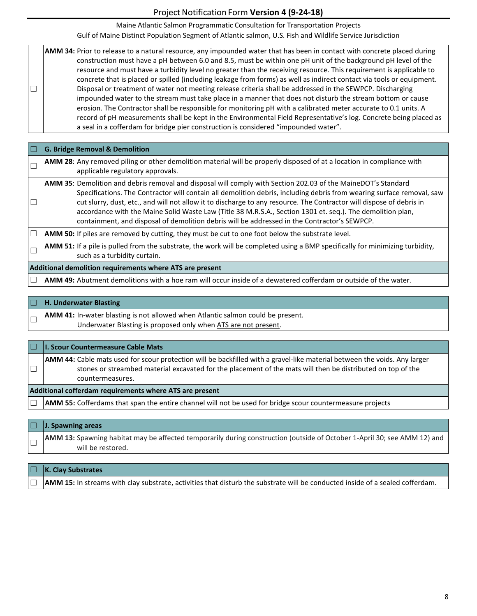Maine Atlantic Salmon Programmatic Consultation for Transportation Projects

Gulf of Maine Distinct Population Segment of Atlantic salmon, U.S. Fish and Wildlife Service Jurisdiction

| $\Box$ | AMM 34: Prior to release to a natural resource, any impounded water that has been in contact with concrete placed during<br>construction must have a pH between 6.0 and 8.5, must be within one pH unit of the background pH level of the<br>resource and must have a turbidity level no greater than the receiving resource. This requirement is applicable to<br>concrete that is placed or spilled (including leakage from forms) as well as indirect contact via tools or equipment.<br>Disposal or treatment of water not meeting release criteria shall be addressed in the SEWPCP. Discharging<br>impounded water to the stream must take place in a manner that does not disturb the stream bottom or cause<br>erosion. The Contractor shall be responsible for monitoring pH with a calibrated meter accurate to 0.1 units. A<br>record of pH measurements shall be kept in the Environmental Field Representative's log. Concrete being placed as |
|--------|-------------------------------------------------------------------------------------------------------------------------------------------------------------------------------------------------------------------------------------------------------------------------------------------------------------------------------------------------------------------------------------------------------------------------------------------------------------------------------------------------------------------------------------------------------------------------------------------------------------------------------------------------------------------------------------------------------------------------------------------------------------------------------------------------------------------------------------------------------------------------------------------------------------------------------------------------------------|
|        | a seal in a cofferdam for bridge pier construction is considered "impounded water".                                                                                                                                                                                                                                                                                                                                                                                                                                                                                                                                                                                                                                                                                                                                                                                                                                                                         |

| <b>G. Bridge Removal &amp; Demolition</b>                                                                                                                                                                                                                                                                                                                                                                                                                                                                                                                                            |  |  |  |  |
|--------------------------------------------------------------------------------------------------------------------------------------------------------------------------------------------------------------------------------------------------------------------------------------------------------------------------------------------------------------------------------------------------------------------------------------------------------------------------------------------------------------------------------------------------------------------------------------|--|--|--|--|
| <b>AMM 28</b> : Any removed piling or other demolition material will be properly disposed of at a location in compliance with<br>applicable regulatory approvals.                                                                                                                                                                                                                                                                                                                                                                                                                    |  |  |  |  |
| <b>AMM 35</b> : Demolition and debris removal and disposal will comply with Section 202.03 of the MaineDOT's Standard<br>Specifications. The Contractor will contain all demolition debris, including debris from wearing surface removal, saw<br>cut slurry, dust, etc., and will not allow it to discharge to any resource. The Contractor will dispose of debris in<br>accordance with the Maine Solid Waste Law (Title 38 M.R.S.A., Section 1301 et. seq.). The demolition plan,<br>containment, and disposal of demolition debris will be addressed in the Contractor's SEWPCP. |  |  |  |  |
| <b>AMM 50:</b> If piles are removed by cutting, they must be cut to one foot below the substrate level.                                                                                                                                                                                                                                                                                                                                                                                                                                                                              |  |  |  |  |
| <b>AMM 51:</b> If a pile is pulled from the substrate, the work will be completed using a BMP specifically for minimizing turbidity,<br>such as a turbidity curtain.                                                                                                                                                                                                                                                                                                                                                                                                                 |  |  |  |  |
| Additional demolition requirements where ATS are present                                                                                                                                                                                                                                                                                                                                                                                                                                                                                                                             |  |  |  |  |
| AMM 49: Abutment demolitions with a hoe ram will occur inside of a dewatered cofferdam or outside of the water.                                                                                                                                                                                                                                                                                                                                                                                                                                                                      |  |  |  |  |

| IT | H. Underwater Blasting                                                                                                                                   |
|----|----------------------------------------------------------------------------------------------------------------------------------------------------------|
|    | <b>AMM 41:</b> In-water blasting is not allowed when Atlantic salmon could be present.<br>Underwater Blasting is proposed only when ATS are not present. |
|    |                                                                                                                                                          |

|    | □  I. Scour Countermeasure Cable Mats                                                                                                                                                                                                           |  |  |
|----|-------------------------------------------------------------------------------------------------------------------------------------------------------------------------------------------------------------------------------------------------|--|--|
| ╹└ | <b>AMM 44:</b> Cable mats used for scour protection will be backfilled with a gravel-like material between the voids. Any larger<br>stones or streambed material excavated for the placement of the mats will then be distributed on top of the |  |  |
|    | countermeasures.                                                                                                                                                                                                                                |  |  |
|    | Additional cofferdam requirements where ATS are present                                                                                                                                                                                         |  |  |

□ **AMM 55:** Cofferdams that span the entire channel will not be used for bridge scour countermeasure projects

| $\Box$ J. Spawning areas                                                                                                                             |
|------------------------------------------------------------------------------------------------------------------------------------------------------|
| <b>AMM 13:</b> Spawning habitat may be affected temporarily during construction (outside of October 1-April 30; see AMM 12) and<br>will be restored. |

| $\Box$ K. Clay Substrates                                                                                                            |
|--------------------------------------------------------------------------------------------------------------------------------------|
| <b>AMM 15:</b> In streams with clay substrate, activities that disturb the substrate will be conducted inside of a sealed cofferdam. |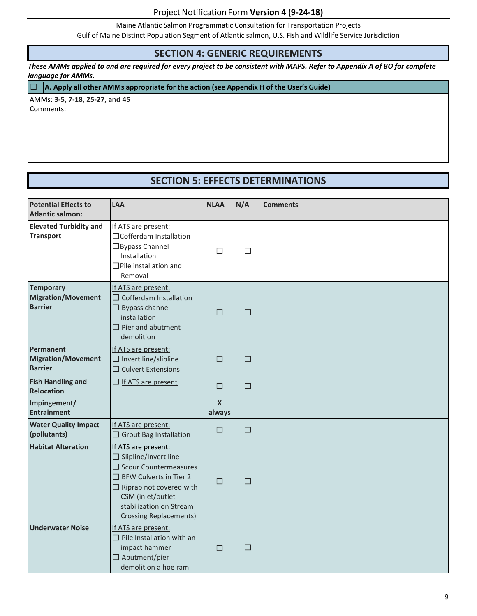Maine Atlantic Salmon Programmatic Consultation for Transportation Projects

Gulf of Maine Distinct Population Segment of Atlantic salmon, U.S. Fish and Wildlife Service Jurisdiction

#### **SECTION 4: GENERIC REQUIREMENTS**

*These AMMs applied to and are required for every project to be consistent with MAPS. Refer to Appendix A of BO for complete language for AMMs.*

☐ **A. Apply all other AMMs appropriate for the action (see Appendix H of the User's Guide)**

AMMs: **3-5, 7-18, 25-27, and 45** Comments:

## **SECTION 5: EFFECTS DETERMINATIONS**

| <b>Potential Effects to</b><br><b>Atlantic salmon:</b>          | LAA                                                                                                                                                                                                                                       | <b>NLAA</b>                | N/A    | <b>Comments</b> |
|-----------------------------------------------------------------|-------------------------------------------------------------------------------------------------------------------------------------------------------------------------------------------------------------------------------------------|----------------------------|--------|-----------------|
| <b>Elevated Turbidity and</b><br><b>Transport</b>               | If ATS are present:<br>□ Cofferdam Installation<br>□ Bypass Channel<br>Installation<br>$\Box$ Pile installation and<br>Removal                                                                                                            | $\Box$                     | $\Box$ |                 |
| <b>Temporary</b><br><b>Migration/Movement</b><br><b>Barrier</b> | If ATS are present:<br>$\Box$ Cofferdam Installation<br>$\Box$ Bypass channel<br>installation<br>$\Box$ Pier and abutment<br>demolition                                                                                                   | $\Box$                     | □      |                 |
| <b>Permanent</b><br><b>Migration/Movement</b><br><b>Barrier</b> | If ATS are present:<br>$\Box$ Invert line/slipline<br>$\square$ Culvert Extensions                                                                                                                                                        | □                          | $\Box$ |                 |
| <b>Fish Handling and</b><br>Relocation                          | $\Box$ If ATS are present                                                                                                                                                                                                                 | $\Box$                     | $\Box$ |                 |
| Impingement/<br><b>Entrainment</b>                              |                                                                                                                                                                                                                                           | $\boldsymbol{X}$<br>always |        |                 |
| <b>Water Quality Impact</b><br>(pollutants)                     | If ATS are present:<br>$\Box$ Grout Bag Installation                                                                                                                                                                                      | □                          | $\Box$ |                 |
| <b>Habitat Alteration</b>                                       | If ATS are present:<br>$\square$ Slipline/Invert line<br>$\Box$ Scour Countermeasures<br>$\Box$ BFW Culverts in Tier 2<br>$\Box$ Riprap not covered with<br>CSM (inlet/outlet<br>stabilization on Stream<br><b>Crossing Replacements)</b> | $\Box$                     | $\Box$ |                 |
| <b>Underwater Noise</b>                                         | If ATS are present:<br>$\Box$ Pile Installation with an<br>impact hammer<br>$\Box$ Abutment/pier<br>demolition a hoe ram                                                                                                                  | $\Box$                     | □      |                 |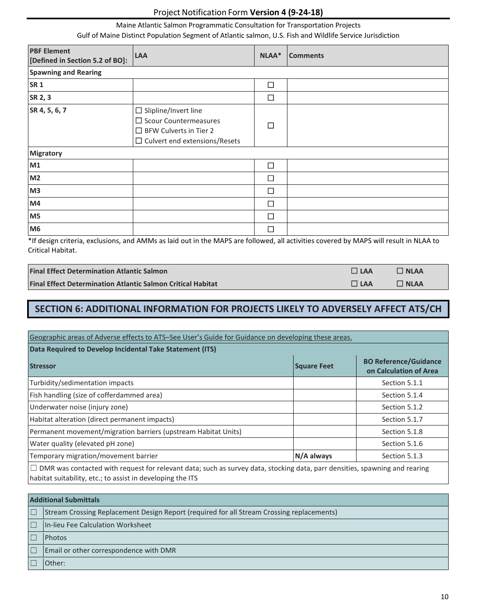#### Maine Atlantic Salmon Programmatic Consultation for Transportation Projects

Gulf of Maine Distinct Population Segment of Atlantic salmon, U.S. Fish and Wildlife Service Jurisdiction

| <b>PBF Element</b><br>[Defined in Section 5.2 of BO]: | <b>LAA</b>                                                                                                                           | NLAA*  | <b>Comments</b> |
|-------------------------------------------------------|--------------------------------------------------------------------------------------------------------------------------------------|--------|-----------------|
| <b>Spawning and Rearing</b>                           |                                                                                                                                      |        |                 |
| <b>SR1</b>                                            |                                                                                                                                      | П      |                 |
| SR 2, 3                                               |                                                                                                                                      | $\Box$ |                 |
| SR 4, 5, 6, 7                                         | $\Box$ Slipline/Invert line<br>$\Box$ Scour Countermeasures<br>$\Box$ BFW Culverts in Tier 2<br>$\Box$ Culvert end extensions/Resets | П      |                 |
| <b>Migratory</b>                                      |                                                                                                                                      |        |                 |
| M1                                                    |                                                                                                                                      | □      |                 |
| M <sub>2</sub>                                        |                                                                                                                                      | П      |                 |
| M3                                                    |                                                                                                                                      | □      |                 |
| M4                                                    |                                                                                                                                      | П      |                 |
| M <sub>5</sub>                                        |                                                                                                                                      | П      |                 |
| M <sub>6</sub>                                        |                                                                                                                                      | ┓      |                 |

\*If design criteria, exclusions, and AMMs as laid out in the MAPS are followed, all activities covered by MAPS will result in NLAA to Critical Habitat.

| <b>Final Effect Determination Atlantic Salmon</b>                  | $\Box$ LAA | $\Box$ NLAA |
|--------------------------------------------------------------------|------------|-------------|
| <b>Final Effect Determination Atlantic Salmon Critical Habitat</b> | $\Box$ LAA | $\Box$ NLAA |

# **SECTION 6: ADDITIONAL INFORMATION FOR PROJECTS LIKELY TO ADVERSELY AFFECT ATS/CH**

| Geographic areas of Adverse effects to ATS-See User's Guide for Guidance on developing these areas.                                                                                             |             |                                                        |  |  |
|-------------------------------------------------------------------------------------------------------------------------------------------------------------------------------------------------|-------------|--------------------------------------------------------|--|--|
| Data Required to Develop Incidental Take Statement (ITS)                                                                                                                                        |             |                                                        |  |  |
| <b>Stressor</b>                                                                                                                                                                                 | Square Feet | <b>BO Reference/Guidance</b><br>on Calculation of Area |  |  |
| Turbidity/sedimentation impacts<br>Section 5.1.1                                                                                                                                                |             |                                                        |  |  |
| Fish handling (size of cofferdammed area)<br>Section 5.1.4                                                                                                                                      |             |                                                        |  |  |
| Underwater noise (injury zone)<br>Section 5.1.2                                                                                                                                                 |             |                                                        |  |  |
| Habitat alteration (direct permanent impacts)<br>Section 5.1.7                                                                                                                                  |             |                                                        |  |  |
| Permanent movement/migration barriers (upstream Habitat Units)<br>Section 5.1.8                                                                                                                 |             |                                                        |  |  |
| Water quality (elevated pH zone)<br>Section 5.1.6                                                                                                                                               |             |                                                        |  |  |
| Temporary migration/movement barrier<br>N/A always<br>Section 5.1.3                                                                                                                             |             |                                                        |  |  |
| $\Box$ DMR was contacted with request for relevant data; such as survey data, stocking data, parr densities, spawning and rearing<br>habitat suitability, etc.; to assist in developing the ITS |             |                                                        |  |  |

| <b>Additional Submittals</b> |                                                                                                  |  |
|------------------------------|--------------------------------------------------------------------------------------------------|--|
| $\Box$                       | <b>Stream Crossing Replacement Design Report (required for all Stream Crossing replacements)</b> |  |
| $\Box$                       | In-lieu Fee Calculation Worksheet                                                                |  |
| IE                           | <b>Photos</b>                                                                                    |  |
| $\Box$                       | Email or other correspondence with DMR                                                           |  |
| ſΓ                           | Other:                                                                                           |  |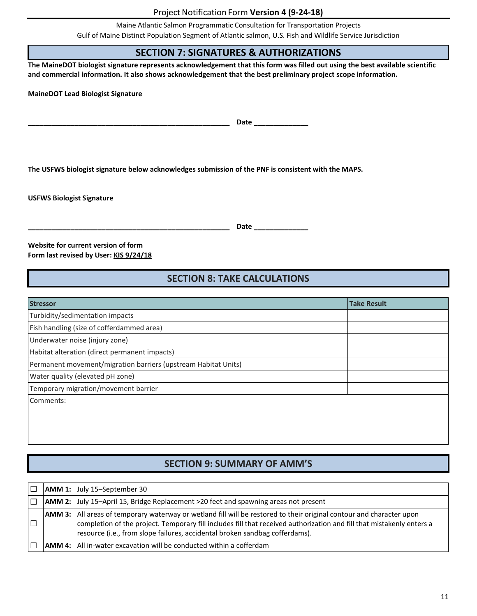Maine Atlantic Salmon Programmatic Consultation for Transportation Projects

Gulf of Maine Distinct Population Segment of Atlantic salmon, U.S. Fish and Wildlife Service Jurisdiction

## **SECTION 7: SIGNATURES & AUTHORIZATIONS**

**The MaineDOT biologist signature represents acknowledgement that this form was filled out using the best available scientific and commercial information. It also shows acknowledgement that the best preliminary project scope information.**

**MaineDOT Lead Biologist Signature**

**\_\_\_\_\_\_\_\_\_\_\_\_\_\_\_\_\_\_\_\_\_\_\_\_\_\_\_\_\_\_\_\_\_\_\_\_\_\_\_\_\_\_\_\_\_\_\_\_\_\_\_\_ Date \_\_\_\_\_\_\_\_\_\_\_\_\_\_**

**The USFWS biologist signature below acknowledges submission of the PNF is consistent with the MAPS.**

**USFWS Biologist Signature**

**\_\_\_\_\_\_\_\_\_\_\_\_\_\_\_\_\_\_\_\_\_\_\_\_\_\_\_\_\_\_\_\_\_\_\_\_\_\_\_\_\_\_\_\_\_\_\_\_\_\_\_\_ Date \_\_\_\_\_\_\_\_\_\_\_\_\_\_**

**Website for current version of form Form last revised by User: KIS 9/24/18**

### **SECTION 8: TAKE CALCULATIONS**

| <b>Stressor</b>                                                | <b>Take Result</b> |  |
|----------------------------------------------------------------|--------------------|--|
| Turbidity/sedimentation impacts                                |                    |  |
| Fish handling (size of cofferdammed area)                      |                    |  |
| Underwater noise (injury zone)                                 |                    |  |
| Habitat alteration (direct permanent impacts)                  |                    |  |
| Permanent movement/migration barriers (upstream Habitat Units) |                    |  |
| Water quality (elevated pH zone)                               |                    |  |
| Temporary migration/movement barrier                           |                    |  |
| Comments:                                                      |                    |  |
|                                                                |                    |  |
|                                                                |                    |  |
|                                                                |                    |  |

## **SECTION 9: SUMMARY OF AMM'S**

|  | <b>AMM 1:</b> July 15-September 30                                                                                                                                                                                                                                                                                                  |
|--|-------------------------------------------------------------------------------------------------------------------------------------------------------------------------------------------------------------------------------------------------------------------------------------------------------------------------------------|
|  | <b>AMM 2:</b> July 15-April 15, Bridge Replacement >20 feet and spawning areas not present                                                                                                                                                                                                                                          |
|  | <b>AMM 3:</b> All areas of temporary waterway or wetland fill will be restored to their original contour and character upon<br>completion of the project. Temporary fill includes fill that received authorization and fill that mistakenly enters a<br>resource (i.e., from slope failures, accidental broken sandbag cofferdams). |
|  | <b>AMM 4:</b> All in-water excavation will be conducted within a cofferdam                                                                                                                                                                                                                                                          |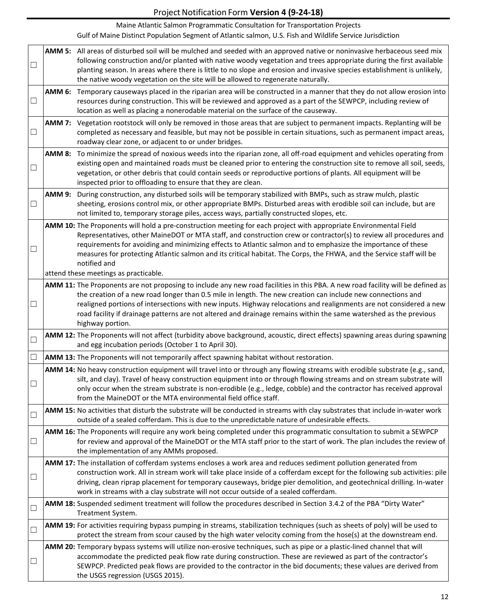Maine Atlantic Salmon Programmatic Consultation for Transportation Projects

| $\Box$                   |               | AMM 5: All areas of disturbed soil will be mulched and seeded with an approved native or noninvasive herbaceous seed mix<br>following construction and/or planted with native woody vegetation and trees appropriate during the first available<br>planting season. In areas where there is little to no slope and erosion and invasive species establishment is unlikely,<br>the native woody vegetation on the site will be allowed to regenerate naturally.                                                |
|--------------------------|---------------|---------------------------------------------------------------------------------------------------------------------------------------------------------------------------------------------------------------------------------------------------------------------------------------------------------------------------------------------------------------------------------------------------------------------------------------------------------------------------------------------------------------|
| $\Box$                   |               | AMM 6: Temporary causeways placed in the riparian area will be constructed in a manner that they do not allow erosion into<br>resources during construction. This will be reviewed and approved as a part of the SEWPCP, including review of<br>location as well as placing a nonerodable material on the surface of the causeway.                                                                                                                                                                            |
| $\Box$                   | <b>AMM 7:</b> | Vegetation rootstock will only be removed in those areas that are subject to permanent impacts. Replanting will be<br>completed as necessary and feasible, but may not be possible in certain situations, such as permanent impact areas,<br>roadway clear zone, or adjacent to or under bridges.                                                                                                                                                                                                             |
| $\Box$                   |               | AMM 8: To minimize the spread of noxious weeds into the riparian zone, all off-road equipment and vehicles operating from<br>existing open and maintained roads must be cleaned prior to entering the construction site to remove all soil, seeds,<br>vegetation, or other debris that could contain seeds or reproductive portions of plants. All equipment will be<br>inspected prior to offloading to ensure that they are clean.                                                                          |
| $\Box$                   | <b>AMM 9:</b> | During construction, any disturbed soils will be temporary stabilized with BMPs, such as straw mulch, plastic<br>sheeting, erosions control mix, or other appropriate BMPs. Disturbed areas with erodible soil can include, but are<br>not limited to, temporary storage piles, access ways, partially constructed slopes, etc.                                                                                                                                                                               |
| ⊔                        |               | AMM 10: The Proponents will hold a pre-construction meeting for each project with appropriate Environmental Field<br>Representatives, other MaineDOT or MTA staff, and construction crew or contractor(s) to review all procedures and<br>requirements for avoiding and minimizing effects to Atlantic salmon and to emphasize the importance of these<br>measures for protecting Atlantic salmon and its critical habitat. The Corps, the FHWA, and the Service staff will be<br>notified and                |
|                          |               | attend these meetings as practicable.                                                                                                                                                                                                                                                                                                                                                                                                                                                                         |
| $\Box$                   |               | AMM 11: The Proponents are not proposing to include any new road facilities in this PBA. A new road facility will be defined as<br>the creation of a new road longer than 0.5 mile in length. The new creation can include new connections and<br>realigned portions of intersections with new inputs. Highway relocations and realignments are not considered a new<br>road facility if drainage patterns are not altered and drainage remains within the same watershed as the previous<br>highway portion. |
| $\Box$                   |               | AMM 12: The Proponents will not affect (turbidity above background, acoustic, direct effects) spawning areas during spawning<br>and egg incubation periods (October 1 to April 30).                                                                                                                                                                                                                                                                                                                           |
| $\Box$                   |               | AMM 13: The Proponents will not temporarily affect spawning habitat without restoration.                                                                                                                                                                                                                                                                                                                                                                                                                      |
| $\Box$                   |               | AMM 14: No heavy construction equipment will travel into or through any flowing streams with erodible substrate (e.g., sand,<br>silt, and clay). Travel of heavy construction equipment into or through flowing streams and on stream substrate will<br>only occur when the stream substrate is non-erodible (e.g., ledge, cobble) and the contractor has received approval<br>from the MaineDOT or the MTA environmental field office staff.                                                                 |
| $\Box$                   |               | AMM 15: No activities that disturb the substrate will be conducted in streams with clay substrates that include in-water work<br>outside of a sealed cofferdam. This is due to the unpredictable nature of undesirable effects.                                                                                                                                                                                                                                                                               |
| $\Box$                   |               | AMM 16: The Proponents will require any work being completed under this programmatic consultation to submit a SEWPCP<br>for review and approval of the MaineDOT or the MTA staff prior to the start of work. The plan includes the review of<br>the implementation of any AMMs proposed.                                                                                                                                                                                                                      |
| $\overline{\phantom{a}}$ |               | AMM 17: The installation of cofferdam systems encloses a work area and reduces sediment pollution generated from<br>construction work. All in stream work will take place inside of a cofferdam except for the following sub activities: pile<br>driving, clean riprap placement for temporary causeways, bridge pier demolition, and geotechnical drilling. In-water<br>work in streams with a clay substrate will not occur outside of a sealed cofferdam.                                                  |
| $\Box$                   |               | AMM 18: Suspended sediment treatment will follow the procedures described in Section 3.4.2 of the PBA "Dirty Water"<br>Treatment System.                                                                                                                                                                                                                                                                                                                                                                      |
| $\Box$                   |               | AMM 19: For activities requiring bypass pumping in streams, stabilization techniques (such as sheets of poly) will be used to<br>protect the stream from scour caused by the high water velocity coming from the hose(s) at the downstream end.                                                                                                                                                                                                                                                               |
| ⊔                        |               | AMM 20: Temporary bypass systems will utilize non-erosive techniques, such as pipe or a plastic-lined channel that will<br>accommodate the predicted peak flow rate during construction. These are reviewed as part of the contractor's<br>SEWPCP. Predicted peak flows are provided to the contractor in the bid documents; these values are derived from<br>the USGS regression (USGS 2015).                                                                                                                |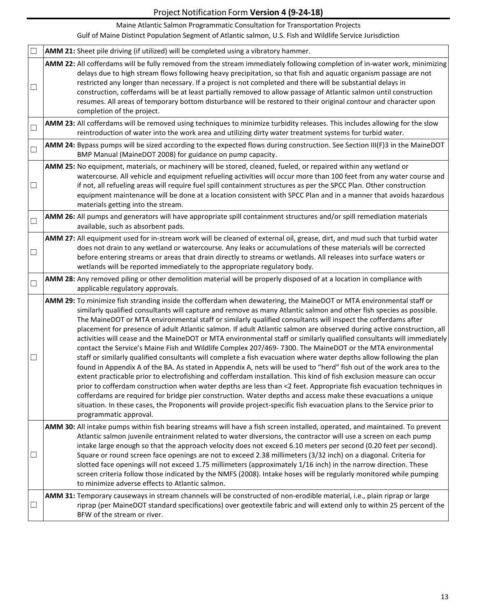Maine Atlantic Salmon Programmatic Consultation for Transportation Projects

| $\Box$ | AMM 21: Sheet pile driving (if utilized) will be completed using a vibratory hammer.                                                                                                                                                                                                                                                                                                                                                                                                                                                                                                                                                                                                                                                                                                                                                                                                                                                                                                                                                                                                                                                                                                                                                                                                                                                                                                                                                                                                         |
|--------|----------------------------------------------------------------------------------------------------------------------------------------------------------------------------------------------------------------------------------------------------------------------------------------------------------------------------------------------------------------------------------------------------------------------------------------------------------------------------------------------------------------------------------------------------------------------------------------------------------------------------------------------------------------------------------------------------------------------------------------------------------------------------------------------------------------------------------------------------------------------------------------------------------------------------------------------------------------------------------------------------------------------------------------------------------------------------------------------------------------------------------------------------------------------------------------------------------------------------------------------------------------------------------------------------------------------------------------------------------------------------------------------------------------------------------------------------------------------------------------------|
| $\Box$ | AMM 22: All cofferdams will be fully removed from the stream immediately following completion of in-water work, minimizing<br>delays due to high stream flows following heavy precipitation, so that fish and aquatic organism passage are not<br>restricted any longer than necessary. If a project is not completed and there will be substantial delays in<br>construction, cofferdams will be at least partially removed to allow passage of Atlantic salmon until construction<br>resumes. All areas of temporary bottom disturbance will be restored to their original contour and character upon<br>completion of the project.                                                                                                                                                                                                                                                                                                                                                                                                                                                                                                                                                                                                                                                                                                                                                                                                                                                        |
| $\Box$ | AMM 23: All cofferdams will be removed using techniques to minimize turbidity releases. This includes allowing for the slow<br>reintroduction of water into the work area and utilizing dirty water treatment systems for turbid water.                                                                                                                                                                                                                                                                                                                                                                                                                                                                                                                                                                                                                                                                                                                                                                                                                                                                                                                                                                                                                                                                                                                                                                                                                                                      |
| $\Box$ | AMM 24: Bypass pumps will be sized according to the expected flows during construction. See Section III(F)3 in the MaineDOT<br>BMP Manual (MaineDOT 2008) for guidance on pump capacity.                                                                                                                                                                                                                                                                                                                                                                                                                                                                                                                                                                                                                                                                                                                                                                                                                                                                                                                                                                                                                                                                                                                                                                                                                                                                                                     |
| $\Box$ | AMM 25: No equipment, materials, or machinery will be stored, cleaned, fueled, or repaired within any wetland or<br>watercourse. All vehicle and equipment refueling activities will occur more than 100 feet from any water course and<br>if not, all refueling areas will require fuel spill containment structures as per the SPCC Plan. Other construction<br>equipment maintenance will be done at a location consistent with SPCC Plan and in a manner that avoids hazardous<br>materials getting into the stream.                                                                                                                                                                                                                                                                                                                                                                                                                                                                                                                                                                                                                                                                                                                                                                                                                                                                                                                                                                     |
| $\Box$ | AMM 26: All pumps and generators will have appropriate spill containment structures and/or spill remediation materials<br>available, such as absorbent pads.                                                                                                                                                                                                                                                                                                                                                                                                                                                                                                                                                                                                                                                                                                                                                                                                                                                                                                                                                                                                                                                                                                                                                                                                                                                                                                                                 |
| $\Box$ | AMM 27: All equipment used for in-stream work will be cleaned of external oil, grease, dirt, and mud such that turbid water<br>does not drain to any wetland or watercourse. Any leaks or accumulations of these materials will be corrected<br>before entering streams or areas that drain directly to streams or wetlands. All releases into surface waters or<br>wetlands will be reported immediately to the appropriate regulatory body.                                                                                                                                                                                                                                                                                                                                                                                                                                                                                                                                                                                                                                                                                                                                                                                                                                                                                                                                                                                                                                                |
| $\Box$ | AMM 28: Any removed piling or other demolition material will be properly disposed of at a location in compliance with<br>applicable regulatory approvals.                                                                                                                                                                                                                                                                                                                                                                                                                                                                                                                                                                                                                                                                                                                                                                                                                                                                                                                                                                                                                                                                                                                                                                                                                                                                                                                                    |
| $\Box$ | AMM 29: To minimize fish stranding inside the cofferdam when dewatering, the MaineDOT or MTA environmental staff or<br>similarly qualified consultants will capture and remove as many Atlantic salmon and other fish species as possible.<br>The MaineDOT or MTA environmental staff or similarly qualified consultants will inspect the cofferdams after<br>placement for presence of adult Atlantic salmon. If adult Atlantic salmon are observed during active construction, all<br>activities will cease and the MaineDOT or MTA environmental staff or similarly qualified consultants will immediately<br>contact the Service's Maine Fish and Wildlife Complex 207/469-7300. The MaineDOT or the MTA environmental<br>staff or similarly qualified consultants will complete a fish evacuation where water depths allow following the plan<br>found in Appendix A of the BA. As stated in Appendix A, nets will be used to "herd" fish out of the work area to the<br>extent practicable prior to electrofishing and cofferdam installation. This kind of fish exclusion measure can occur<br>prior to cofferdam construction when water depths are less than <2 feet. Appropriate fish evacuation techniques in<br>cofferdams are required for bridge pier construction. Water depths and access make these evacuations a unique<br>situation. In these cases, the Proponents will provide project-specific fish evacuation plans to the Service prior to<br>programmatic approval. |
|        | AMM 30: All intake pumps within fish bearing streams will have a fish screen installed, operated, and maintained. To prevent<br>Atlantic salmon juvenile entrainment related to water diversions, the contractor will use a screen on each pump<br>intake large enough so that the approach velocity does not exceed 6.10 meters per second (0.20 feet per second).<br>Square or round screen face openings are not to exceed 2.38 millimeters (3/32 inch) on a diagonal. Criteria for<br>slotted face openings will not exceed 1.75 millimeters (approximately 1/16 inch) in the narrow direction. These<br>screen criteria follow those indicated by the NMFS (2008). Intake hoses will be regularly monitored while pumping<br>to minimize adverse effects to Atlantic salmon.                                                                                                                                                                                                                                                                                                                                                                                                                                                                                                                                                                                                                                                                                                            |
| $\Box$ | AMM 31: Temporary causeways in stream channels will be constructed of non-erodible material, i.e., plain riprap or large<br>riprap (per MaineDOT standard specifications) over geotextile fabric and will extend only to within 25 percent of the<br>BFW of the stream or river.                                                                                                                                                                                                                                                                                                                                                                                                                                                                                                                                                                                                                                                                                                                                                                                                                                                                                                                                                                                                                                                                                                                                                                                                             |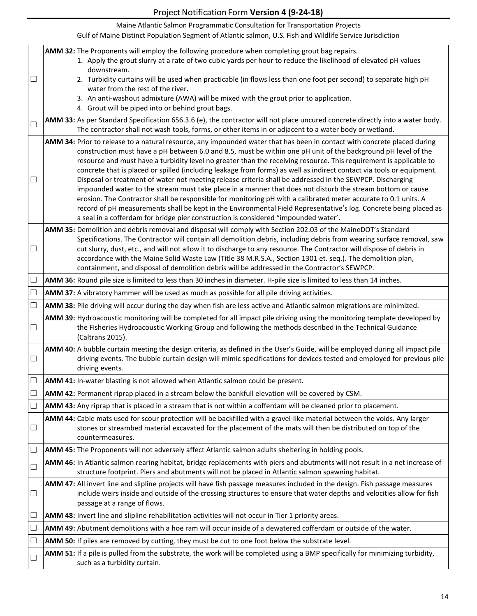|        | Maine Atlantic Salmon Programmatic Consultation for Transportation Projects                                                                                                                                                                                                                                                                                                                                                                                                                                                                                                                                                                                                                                                                                                                                                                                                                                                                                                                                                                        |
|--------|----------------------------------------------------------------------------------------------------------------------------------------------------------------------------------------------------------------------------------------------------------------------------------------------------------------------------------------------------------------------------------------------------------------------------------------------------------------------------------------------------------------------------------------------------------------------------------------------------------------------------------------------------------------------------------------------------------------------------------------------------------------------------------------------------------------------------------------------------------------------------------------------------------------------------------------------------------------------------------------------------------------------------------------------------|
|        | Gulf of Maine Distinct Population Segment of Atlantic salmon, U.S. Fish and Wildlife Service Jurisdiction                                                                                                                                                                                                                                                                                                                                                                                                                                                                                                                                                                                                                                                                                                                                                                                                                                                                                                                                          |
|        | AMM 32: The Proponents will employ the following procedure when completing grout bag repairs.<br>1. Apply the grout slurry at a rate of two cubic yards per hour to reduce the likelihood of elevated pH values<br>downstream.                                                                                                                                                                                                                                                                                                                                                                                                                                                                                                                                                                                                                                                                                                                                                                                                                     |
| $\Box$ | 2. Turbidity curtains will be used when practicable (in flows less than one foot per second) to separate high pH<br>water from the rest of the river.                                                                                                                                                                                                                                                                                                                                                                                                                                                                                                                                                                                                                                                                                                                                                                                                                                                                                              |
|        | 3. An anti-washout admixture (AWA) will be mixed with the grout prior to application.<br>4. Grout will be piped into or behind grout bags.                                                                                                                                                                                                                                                                                                                                                                                                                                                                                                                                                                                                                                                                                                                                                                                                                                                                                                         |
| $\Box$ | AMM 33: As per Standard Specification 656.3.6 (e), the contractor will not place uncured concrete directly into a water body.<br>The contractor shall not wash tools, forms, or other items in or adjacent to a water body or wetland.                                                                                                                                                                                                                                                                                                                                                                                                                                                                                                                                                                                                                                                                                                                                                                                                             |
| $\Box$ | AMM 34: Prior to release to a natural resource, any impounded water that has been in contact with concrete placed during<br>construction must have a pH between 6.0 and 8.5, must be within one pH unit of the background pH level of the<br>resource and must have a turbidity level no greater than the receiving resource. This requirement is applicable to<br>concrete that is placed or spilled (including leakage from forms) as well as indirect contact via tools or equipment.<br>Disposal or treatment of water not meeting release criteria shall be addressed in the SEWPCP. Discharging<br>impounded water to the stream must take place in a manner that does not disturb the stream bottom or cause<br>erosion. The Contractor shall be responsible for monitoring pH with a calibrated meter accurate to 0.1 units. A<br>record of pH measurements shall be kept in the Environmental Field Representative's log. Concrete being placed as<br>a seal in a cofferdam for bridge pier construction is considered "impounded water'. |
| $\Box$ | AMM 35: Demolition and debris removal and disposal will comply with Section 202.03 of the MaineDOT's Standard<br>Specifications. The Contractor will contain all demolition debris, including debris from wearing surface removal, saw<br>cut slurry, dust, etc., and will not allow it to discharge to any resource. The Contractor will dispose of debris in<br>accordance with the Maine Solid Waste Law (Title 38 M.R.S.A., Section 1301 et. seq.). The demolition plan,<br>containment, and disposal of demolition debris will be addressed in the Contractor's SEWPCP.                                                                                                                                                                                                                                                                                                                                                                                                                                                                       |
| $\Box$ | AMM 36: Round pile size is limited to less than 30 inches in diameter. H-pile size is limited to less than 14 inches.                                                                                                                                                                                                                                                                                                                                                                                                                                                                                                                                                                                                                                                                                                                                                                                                                                                                                                                              |
| $\Box$ | AMM 37: A vibratory hammer will be used as much as possible for all pile driving activities.                                                                                                                                                                                                                                                                                                                                                                                                                                                                                                                                                                                                                                                                                                                                                                                                                                                                                                                                                       |
| $\Box$ | AMM 38: Pile driving will occur during the day when fish are less active and Atlantic salmon migrations are minimized.                                                                                                                                                                                                                                                                                                                                                                                                                                                                                                                                                                                                                                                                                                                                                                                                                                                                                                                             |
| $\Box$ | AMM 39: Hydroacoustic monitoring will be completed for all impact pile driving using the monitoring template developed by<br>the Fisheries Hydroacoustic Working Group and following the methods described in the Technical Guidance<br>(Caltrans 2015).                                                                                                                                                                                                                                                                                                                                                                                                                                                                                                                                                                                                                                                                                                                                                                                           |
| $\Box$ | AMM 40: A bubble curtain meeting the design criteria, as defined in the User's Guide, will be employed during all impact pile<br>driving events. The bubble curtain design will mimic specifications for devices tested and employed for previous pile<br>driving events.                                                                                                                                                                                                                                                                                                                                                                                                                                                                                                                                                                                                                                                                                                                                                                          |
| $\Box$ | AMM 41: In-water blasting is not allowed when Atlantic salmon could be present.                                                                                                                                                                                                                                                                                                                                                                                                                                                                                                                                                                                                                                                                                                                                                                                                                                                                                                                                                                    |
| $\Box$ | AMM 42: Permanent riprap placed in a stream below the bankfull elevation will be covered by CSM.                                                                                                                                                                                                                                                                                                                                                                                                                                                                                                                                                                                                                                                                                                                                                                                                                                                                                                                                                   |
| $\Box$ | AMM 43: Any riprap that is placed in a stream that is not within a cofferdam will be cleaned prior to placement.                                                                                                                                                                                                                                                                                                                                                                                                                                                                                                                                                                                                                                                                                                                                                                                                                                                                                                                                   |
| $\Box$ | AMM 44: Cable mats used for scour protection will be backfilled with a gravel-like material between the voids. Any larger<br>stones or streambed material excavated for the placement of the mats will then be distributed on top of the<br>countermeasures.                                                                                                                                                                                                                                                                                                                                                                                                                                                                                                                                                                                                                                                                                                                                                                                       |
| $\Box$ | AMM 45: The Proponents will not adversely affect Atlantic salmon adults sheltering in holding pools.                                                                                                                                                                                                                                                                                                                                                                                                                                                                                                                                                                                                                                                                                                                                                                                                                                                                                                                                               |
| $\Box$ | AMM 46: In Atlantic salmon rearing habitat, bridge replacements with piers and abutments will not result in a net increase of<br>structure footprint. Piers and abutments will not be placed in Atlantic salmon spawning habitat.                                                                                                                                                                                                                                                                                                                                                                                                                                                                                                                                                                                                                                                                                                                                                                                                                  |
| $\Box$ | AMM 47: All invert line and slipline projects will have fish passage measures included in the design. Fish passage measures<br>include weirs inside and outside of the crossing structures to ensure that water depths and velocities allow for fish<br>passage at a range of flows.                                                                                                                                                                                                                                                                                                                                                                                                                                                                                                                                                                                                                                                                                                                                                               |
| $\Box$ | AMM 48: Invert line and slipline rehabilitation activities will not occur in Tier 1 priority areas.                                                                                                                                                                                                                                                                                                                                                                                                                                                                                                                                                                                                                                                                                                                                                                                                                                                                                                                                                |
| $\Box$ | AMM 49: Abutment demolitions with a hoe ram will occur inside of a dewatered cofferdam or outside of the water.                                                                                                                                                                                                                                                                                                                                                                                                                                                                                                                                                                                                                                                                                                                                                                                                                                                                                                                                    |
| $\Box$ | AMM 50: If piles are removed by cutting, they must be cut to one foot below the substrate level.                                                                                                                                                                                                                                                                                                                                                                                                                                                                                                                                                                                                                                                                                                                                                                                                                                                                                                                                                   |
| $\Box$ | AMM 51: If a pile is pulled from the substrate, the work will be completed using a BMP specifically for minimizing turbidity,<br>such as a turbidity curtain.                                                                                                                                                                                                                                                                                                                                                                                                                                                                                                                                                                                                                                                                                                                                                                                                                                                                                      |